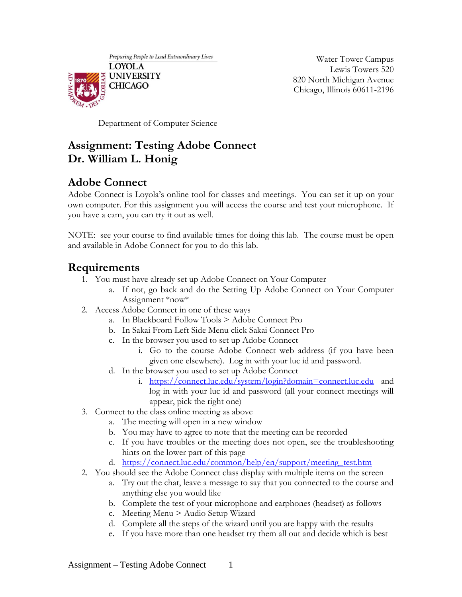Preparing People to Lead Extraordinary Lives



Water Tower Campus Lewis Towers 520 820 North Michigan Avenue Chicago, Illinois 60611-2196

Department of Computer Science

## **Assignment: Testing Adobe Connect Dr. William L. Honig**

## **Adobe Connect**

Adobe Connect is Loyola's online tool for classes and meetings. You can set it up on your own computer. For this assignment you will access the course and test your microphone. If you have a cam, you can try it out as well.

NOTE: see your course to find available times for doing this lab. The course must be open and available in Adobe Connect for you to do this lab.

## **Requirements**

- 1. You must have already set up Adobe Connect on Your Computer
	- a. If not, go back and do the Setting Up Adobe Connect on Your Computer Assignment \*now\*
- 2. Access Adobe Connect in one of these ways
	- a. In Blackboard Follow Tools > Adobe Connect Pro
	- b. In Sakai From Left Side Menu click Sakai Connect Pro
	- c. In the browser you used to set up Adobe Connect
		- i. Go to the course Adobe Connect web address (if you have been given one elsewhere). Log in with your luc id and password.
	- d. In the browser you used to set up Adobe Connect
		- i. <https://connect.luc.edu/system/login?domain=connect.luc.edu> and log in with your luc id and password (all your connect meetings will appear, pick the right one)
- 3. Connect to the class online meeting as above
	- a. The meeting will open in a new window
	- b. You may have to agree to note that the meeting can be recorded
	- c. If you have troubles or the meeting does not open, see the troubleshooting hints on the lower part of this page
	- d. [https://connect.luc.edu/common/help/en/support/meeting\\_test.htm](https://connect.luc.edu/common/help/en/support/meeting_test.htm)
- 2. You should see the Adobe Connect class display with multiple items on the screen
	- a. Try out the chat, leave a message to say that you connected to the course and anything else you would like
	- b. Complete the test of your microphone and earphones (headset) as follows
	- c. Meeting Menu > Audio Setup Wizard
	- d. Complete all the steps of the wizard until you are happy with the results
	- e. If you have more than one headset try them all out and decide which is best